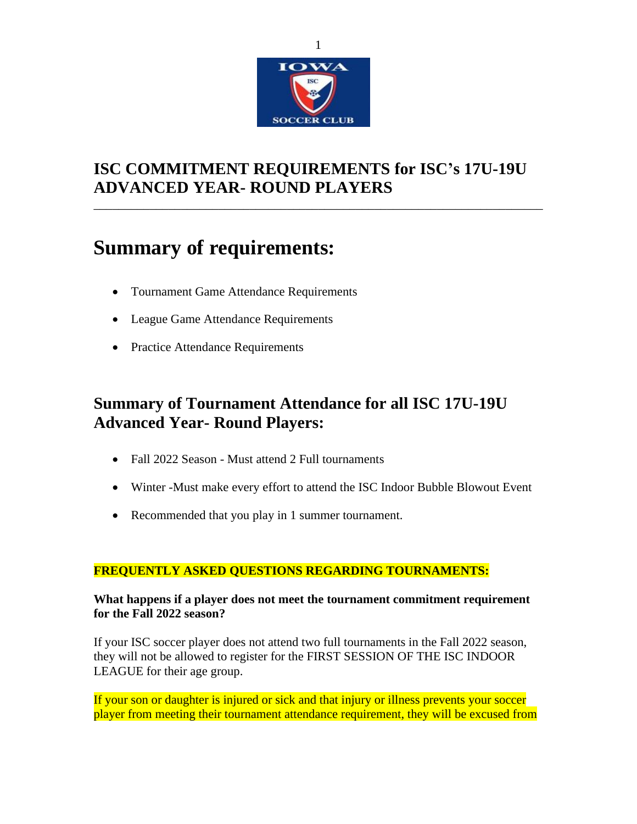

# **ISC COMMITMENT REQUIREMENTS for ISC's 17U-19U ADVANCED YEAR- ROUND PLAYERS**

\_\_\_\_\_\_\_\_\_\_\_\_\_\_\_\_\_\_\_\_\_\_\_\_\_\_\_\_\_\_\_\_\_\_\_\_\_\_\_\_\_\_\_\_\_\_\_\_\_\_\_\_\_\_\_\_\_\_\_\_\_\_\_\_\_\_\_\_\_\_\_\_

# **Summary of requirements:**

- Tournament Game Attendance Requirements
- League Game Attendance Requirements
- Practice Attendance Requirements

# **Summary of Tournament Attendance for all ISC 17U-19U Advanced Year- Round Players:**

- Fall 2022 Season Must attend 2 Full tournaments
- Winter -Must make every effort to attend the ISC Indoor Bubble Blowout Event
- Recommended that you play in 1 summer tournament.

## **FREQUENTLY ASKED QUESTIONS REGARDING TOURNAMENTS:**

## **What happens if a player does not meet the tournament commitment requirement for the Fall 2022 season?**

If your ISC soccer player does not attend two full tournaments in the Fall 2022 season, they will not be allowed to register for the FIRST SESSION OF THE ISC INDOOR LEAGUE for their age group.

If your son or daughter is injured or sick and that injury or illness prevents your soccer player from meeting their tournament attendance requirement, they will be excused from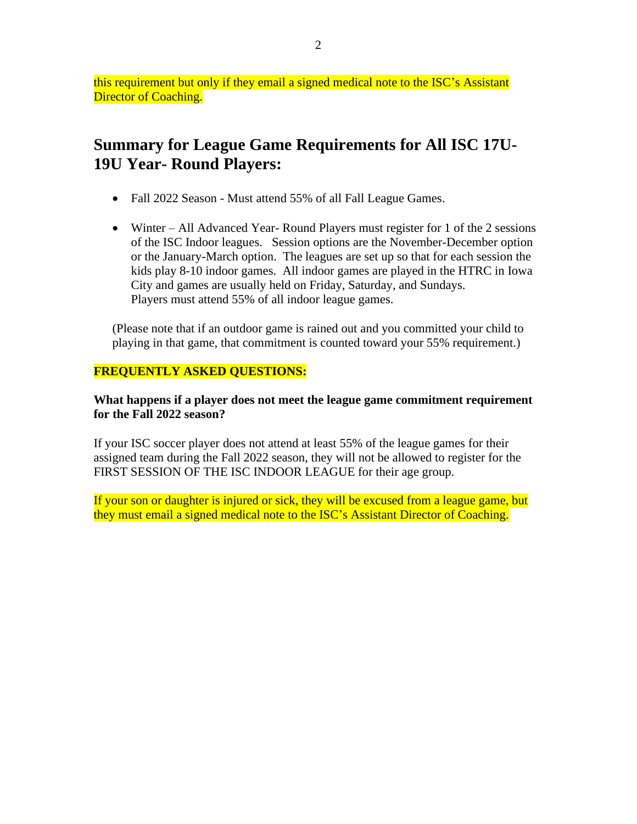this requirement but only if they email a signed medical note to the ISC's Assistant Director of Coaching.

# **Summary for League Game Requirements for All ISC 17U-19U Year- Round Players:**

- Fall 2022 Season Must attend 55% of all Fall League Games.
- Winter All Advanced Year- Round Players must register for 1 of the 2 sessions of the ISC Indoor leagues. Session options are the November-December option or the January-March option. The leagues are set up so that for each session the kids play 8-10 indoor games. All indoor games are played in the HTRC in Iowa City and games are usually held on Friday, Saturday, and Sundays. Players must attend 55% of all indoor league games.

(Please note that if an outdoor game is rained out and you committed your child to playing in that game, that commitment is counted toward your 55% requirement.)

## **FREQUENTLY ASKED QUESTIONS:**

## **What happens if a player does not meet the league game commitment requirement for the Fall 2022 season?**

If your ISC soccer player does not attend at least 55% of the league games for their assigned team during the Fall 2022 season, they will not be allowed to register for the FIRST SESSION OF THE ISC INDOOR LEAGUE for their age group.

If your son or daughter is injured or sick, they will be excused from a league game, but they must email a signed medical note to the ISC's Assistant Director of Coaching.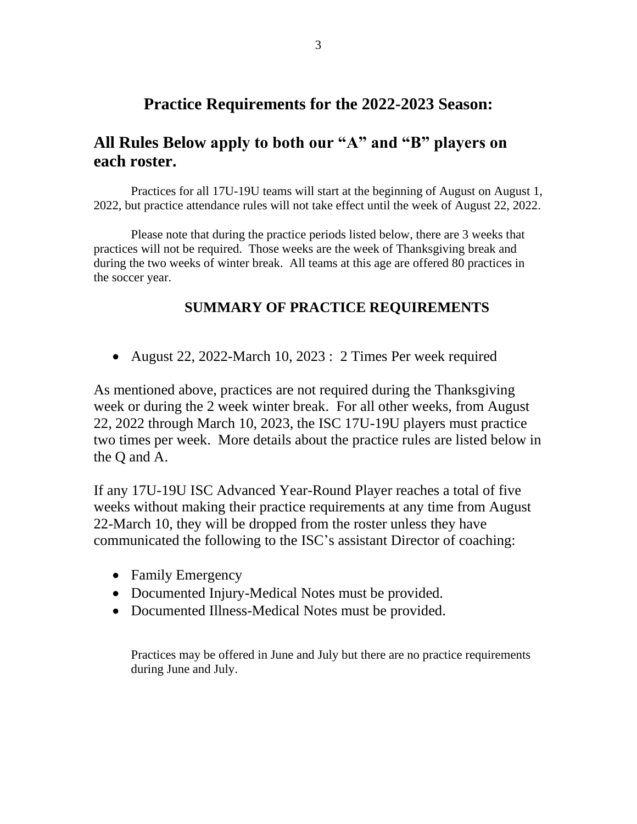## **Practice Requirements for the 2022-2023 Season:**

## **All Rules Below apply to both our "A" and "B" players on each roster.**

Practices for all 17U-19U teams will start at the beginning of August on August 1, 2022, but practice attendance rules will not take effect until the week of August 22, 2022.

Please note that during the practice periods listed below, there are 3 weeks that practices will not be required. Those weeks are the week of Thanksgiving break and during the two weeks of winter break. All teams at this age are offered 80 practices in the soccer year.

## **SUMMARY OF PRACTICE REQUIREMENTS**

• August 22, 2022-March 10, 2023 : 2 Times Per week required

As mentioned above, practices are not required during the Thanksgiving week or during the 2 week winter break. For all other weeks, from August 22, 2022 through March 10, 2023, the ISC 17U-19U players must practice two times per week. More details about the practice rules are listed below in the Q and A.

If any 17U-19U ISC Advanced Year-Round Player reaches a total of five weeks without making their practice requirements at any time from August 22-March 10, they will be dropped from the roster unless they have communicated the following to the ISC's assistant Director of coaching:

- Family Emergency
- Documented Injury-Medical Notes must be provided.
- Documented Illness-Medical Notes must be provided.

Practices may be offered in June and July but there are no practice requirements during June and July.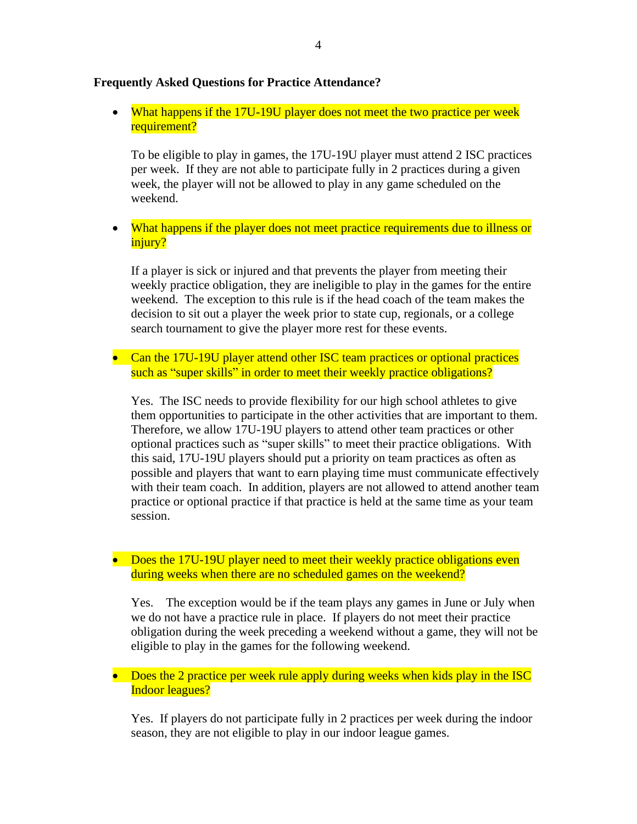## **Frequently Asked Questions for Practice Attendance?**

• What happens if the 17U-19U player does not meet the two practice per week requirement?

To be eligible to play in games, the 17U-19U player must attend 2 ISC practices per week. If they are not able to participate fully in 2 practices during a given week, the player will not be allowed to play in any game scheduled on the weekend.

• What happens if the player does not meet practice requirements due to illness or injury?

If a player is sick or injured and that prevents the player from meeting their weekly practice obligation, they are ineligible to play in the games for the entire weekend. The exception to this rule is if the head coach of the team makes the decision to sit out a player the week prior to state cup, regionals, or a college search tournament to give the player more rest for these events.

• Can the 17U-19U player attend other ISC team practices or optional practices such as "super skills" in order to meet their weekly practice obligations?

Yes. The ISC needs to provide flexibility for our high school athletes to give them opportunities to participate in the other activities that are important to them. Therefore, we allow 17U-19U players to attend other team practices or other optional practices such as "super skills" to meet their practice obligations. With this said, 17U-19U players should put a priority on team practices as often as possible and players that want to earn playing time must communicate effectively with their team coach. In addition, players are not allowed to attend another team practice or optional practice if that practice is held at the same time as your team session.

• Does the 17U-19U player need to meet their weekly practice obligations even during weeks when there are no scheduled games on the weekend?

Yes. The exception would be if the team plays any games in June or July when we do not have a practice rule in place. If players do not meet their practice obligation during the week preceding a weekend without a game, they will not be eligible to play in the games for the following weekend.

• Does the 2 practice per week rule apply during weeks when kids play in the ISC Indoor leagues?

Yes. If players do not participate fully in 2 practices per week during the indoor season, they are not eligible to play in our indoor league games.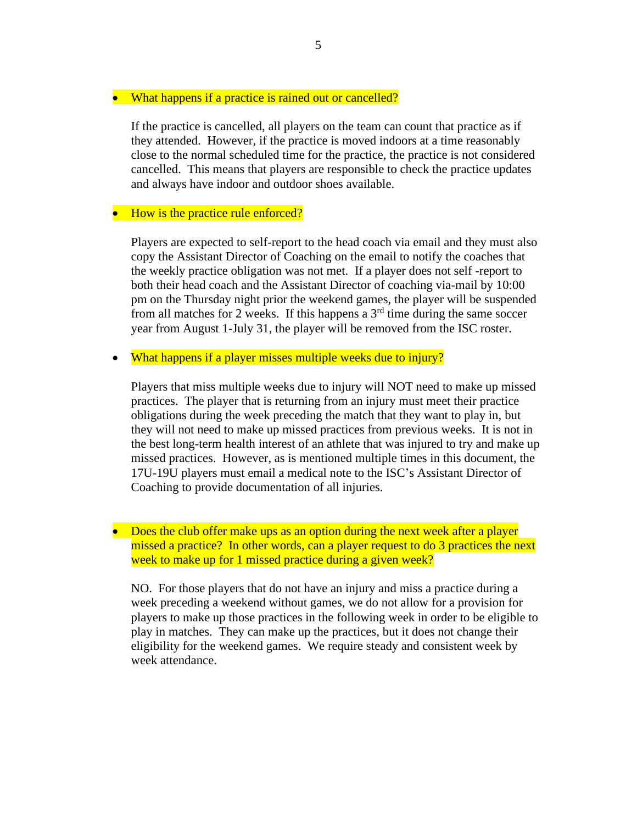## • What happens if a practice is rained out or cancelled?

If the practice is cancelled, all players on the team can count that practice as if they attended. However, if the practice is moved indoors at a time reasonably close to the normal scheduled time for the practice, the practice is not considered cancelled. This means that players are responsible to check the practice updates and always have indoor and outdoor shoes available.

## • How is the practice rule enforced?

Players are expected to self-report to the head coach via email and they must also copy the Assistant Director of Coaching on the email to notify the coaches that the weekly practice obligation was not met. If a player does not self -report to both their head coach and the Assistant Director of coaching via-mail by 10:00 pm on the Thursday night prior the weekend games, the player will be suspended from all matches for 2 weeks. If this happens a  $3<sup>rd</sup>$  time during the same soccer year from August 1-July 31, the player will be removed from the ISC roster.

• What happens if a player misses multiple weeks due to injury?

Players that miss multiple weeks due to injury will NOT need to make up missed practices. The player that is returning from an injury must meet their practice obligations during the week preceding the match that they want to play in, but they will not need to make up missed practices from previous weeks. It is not in the best long-term health interest of an athlete that was injured to try and make up missed practices. However, as is mentioned multiple times in this document, the 17U-19U players must email a medical note to the ISC's Assistant Director of Coaching to provide documentation of all injuries.

• Does the club offer make ups as an option during the next week after a player missed a practice? In other words, can a player request to do 3 practices the next week to make up for 1 missed practice during a given week?

NO. For those players that do not have an injury and miss a practice during a week preceding a weekend without games, we do not allow for a provision for players to make up those practices in the following week in order to be eligible to play in matches. They can make up the practices, but it does not change their eligibility for the weekend games. We require steady and consistent week by week attendance.